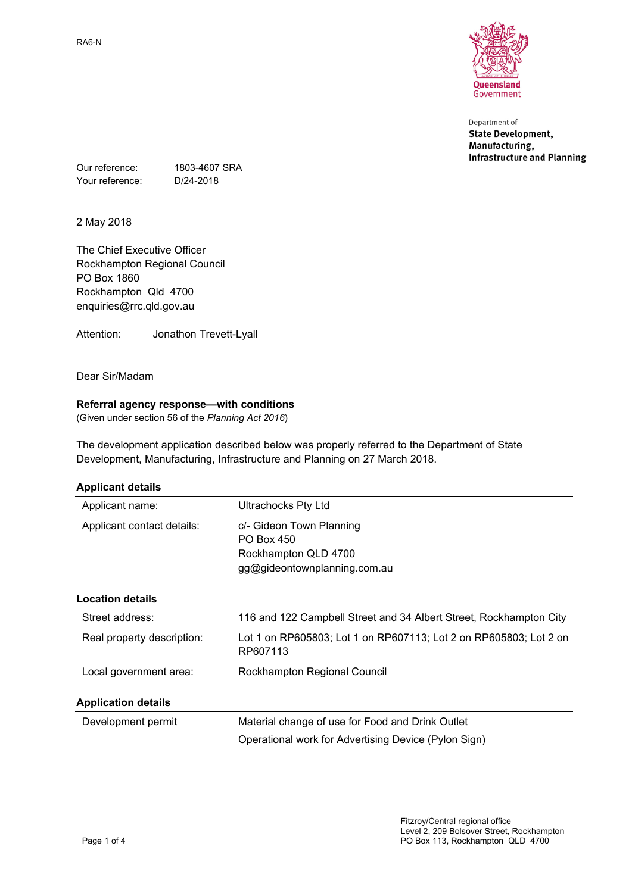

Department of **State Development,** Manufacturing, **Infrastructure and Planning** 

Our reference: 1803-4607 SRA Your reference: D/24-2018

2 May 2018

The Chief Executive Officer Rockhampton Regional Council PO Box 1860 Rockhampton Qld 4700 enquiries@rrc.qld.gov.au

Attention: Jonathon Trevett-Lyall

Dear Sir/Madam

### **Referral agency response—with conditions**

(Given under section 56 of the *Planning Act 2016*)

The development application described below was properly referred to the Department of State Development, Manufacturing, Infrastructure and Planning on 27 March 2018.

| <b>Applicant details</b>   |                                                                                                |
|----------------------------|------------------------------------------------------------------------------------------------|
| Applicant name:            | <b>Ultrachocks Pty Ltd</b>                                                                     |
| Applicant contact details: | c/- Gideon Town Planning<br>PO Box 450<br>Rockhampton QLD 4700<br>gg@gideontownplanning.com.au |
| <b>Location details</b>    |                                                                                                |
| Street address:            | 116 and 122 Campbell Street and 34 Albert Street, Rockhampton City                             |
| Real property description: | Lot 1 on RP605803; Lot 1 on RP607113; Lot 2 on RP605803; Lot 2 on<br>RP607113                  |
| Local government area:     | Rockhampton Regional Council                                                                   |
| <b>Application details</b> |                                                                                                |
| Development permit         | Material change of use for Food and Drink Outlet                                               |
|                            | Operational work for Advertising Device (Pylon Sign)                                           |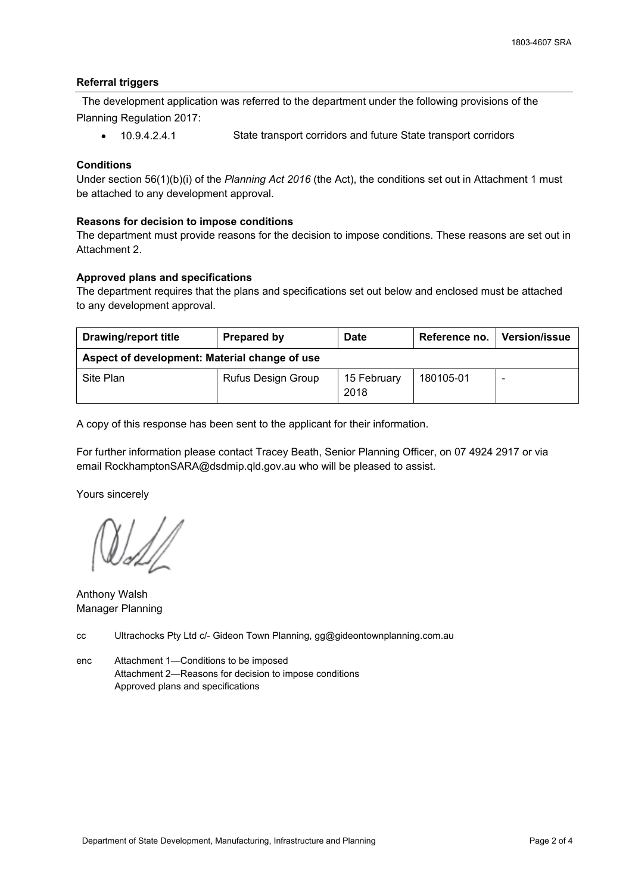#### **Referral triggers**

The development application was referred to the department under the following provisions of the Planning Regulation 2017:

10.9.4.2.4.1 State transport corridors and future State transport corridors

#### **Conditions**

Under section 56(1)(b)(i) of the *Planning Act 2016* (the Act), the conditions set out in Attachment 1 must be attached to any development approval.

#### **Reasons for decision to impose conditions**

The department must provide reasons for the decision to impose conditions. These reasons are set out in Attachment 2.

#### **Approved plans and specifications**

The department requires that the plans and specifications set out below and enclosed must be attached to any development approval.

| <b>Drawing/report title</b><br>Prepared by    |                           | Date                | Reference no. | <b>Version/issue</b> |
|-----------------------------------------------|---------------------------|---------------------|---------------|----------------------|
| Aspect of development: Material change of use |                           |                     |               |                      |
| Site Plan                                     | <b>Rufus Design Group</b> | 15 February<br>2018 | 180105-01     |                      |

A copy of this response has been sent to the applicant for their information.

For further information please contact Tracey Beath, Senior Planning Officer, on 07 4924 2917 or via email RockhamptonSARA@dsdmip.qld.gov.au who will be pleased to assist.

Yours sincerely

Anthony Walsh Manager Planning

cc Ultrachocks Pty Ltd c/- Gideon Town Planning, gg@gideontownplanning.com.au

enc Attachment 1—Conditions to be imposed Attachment 2—Reasons for decision to impose conditions Approved plans and specifications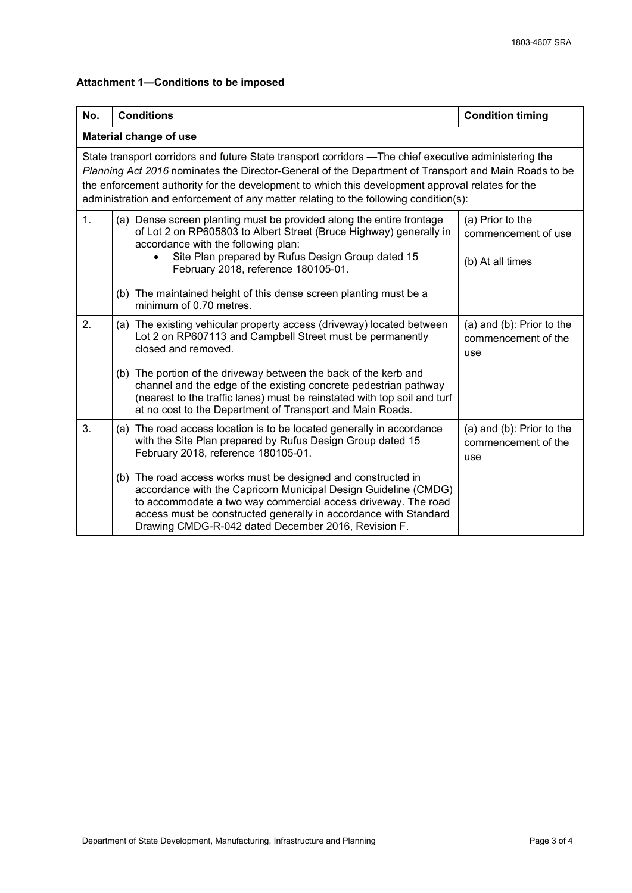# **Attachment 1—Conditions to be imposed**

| No. | <b>Conditions</b>                                                                                                                                                                                                                                                                                                                                                                                         | <b>Condition timing</b>                                 |  |  |  |  |
|-----|-----------------------------------------------------------------------------------------------------------------------------------------------------------------------------------------------------------------------------------------------------------------------------------------------------------------------------------------------------------------------------------------------------------|---------------------------------------------------------|--|--|--|--|
|     | <b>Material change of use</b>                                                                                                                                                                                                                                                                                                                                                                             |                                                         |  |  |  |  |
|     | State transport corridors and future State transport corridors -The chief executive administering the<br>Planning Act 2016 nominates the Director-General of the Department of Transport and Main Roads to be<br>the enforcement authority for the development to which this development approval relates for the<br>administration and enforcement of any matter relating to the following condition(s): |                                                         |  |  |  |  |
| 1.  | (a) Dense screen planting must be provided along the entire frontage<br>of Lot 2 on RP605803 to Albert Street (Bruce Highway) generally in<br>accordance with the following plan:                                                                                                                                                                                                                         | (a) Prior to the<br>commencement of use                 |  |  |  |  |
|     | Site Plan prepared by Rufus Design Group dated 15<br>February 2018, reference 180105-01.                                                                                                                                                                                                                                                                                                                  | (b) At all times                                        |  |  |  |  |
|     | (b) The maintained height of this dense screen planting must be a<br>minimum of 0.70 metres.                                                                                                                                                                                                                                                                                                              |                                                         |  |  |  |  |
| 2.  | (a) The existing vehicular property access (driveway) located between<br>Lot 2 on RP607113 and Campbell Street must be permanently<br>closed and removed.                                                                                                                                                                                                                                                 | (a) and (b): Prior to the<br>commencement of the<br>use |  |  |  |  |
|     | (b) The portion of the driveway between the back of the kerb and<br>channel and the edge of the existing concrete pedestrian pathway<br>(nearest to the traffic lanes) must be reinstated with top soil and turf<br>at no cost to the Department of Transport and Main Roads.                                                                                                                             |                                                         |  |  |  |  |
| 3.  | (a) The road access location is to be located generally in accordance<br>with the Site Plan prepared by Rufus Design Group dated 15<br>February 2018, reference 180105-01.                                                                                                                                                                                                                                | (a) and (b): Prior to the<br>commencement of the<br>use |  |  |  |  |
|     | (b) The road access works must be designed and constructed in<br>accordance with the Capricorn Municipal Design Guideline (CMDG)<br>to accommodate a two way commercial access driveway. The road<br>access must be constructed generally in accordance with Standard<br>Drawing CMDG-R-042 dated December 2016, Revision F.                                                                              |                                                         |  |  |  |  |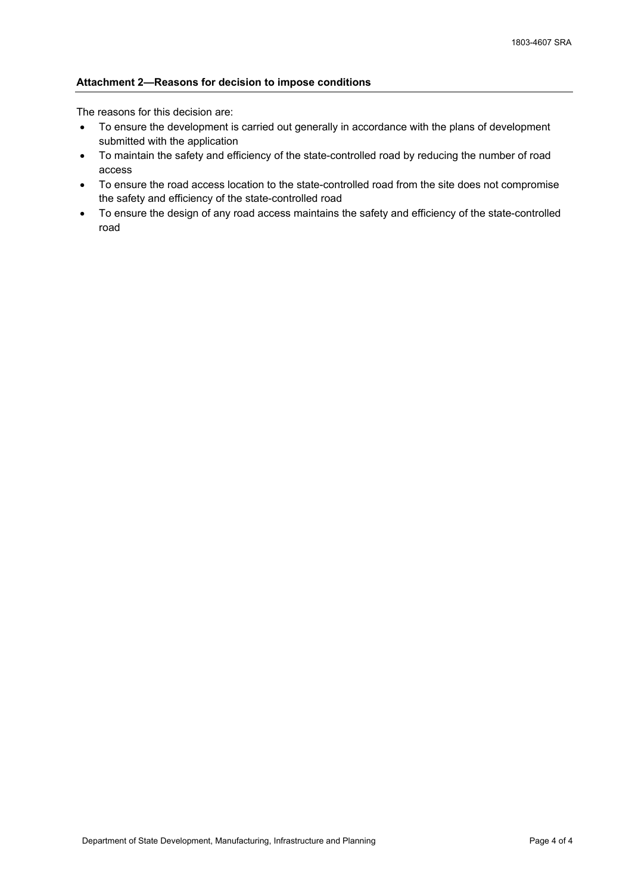#### **Attachment 2—Reasons for decision to impose conditions**

The reasons for this decision are:

- To ensure the development is carried out generally in accordance with the plans of development submitted with the application
- To maintain the safety and efficiency of the state-controlled road by reducing the number of road access
- To ensure the road access location to the state-controlled road from the site does not compromise the safety and efficiency of the state-controlled road
- To ensure the design of any road access maintains the safety and efficiency of the state-controlled road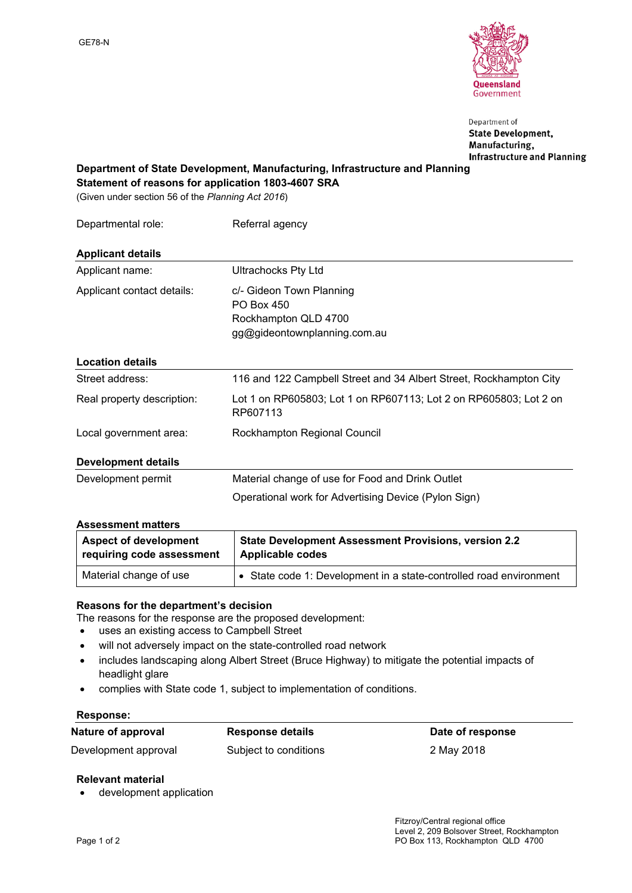

Department of **State Development,** Manufacturing, **Infrastructure and Planning** 

**Department of State Development, Manufacturing, Infrastructure and Planning Statement of reasons for application 1803-4607 SRA**

(Given under section 56 of the *Planning Act 2016*)

| Departmental role:         | Referral agency                                                                                |
|----------------------------|------------------------------------------------------------------------------------------------|
| <b>Applicant details</b>   |                                                                                                |
| Applicant name:            | <b>Ultrachocks Pty Ltd</b>                                                                     |
| Applicant contact details: | c/- Gideon Town Planning<br>PO Box 450<br>Rockhampton QLD 4700<br>gg@gideontownplanning.com.au |
| <b>Location details</b>    |                                                                                                |
| Street address:            | 116 and 122 Campbell Street and 34 Albert Street, Rockhampton City                             |
| Real property description: | Lot 1 on RP605803; Lot 1 on RP607113; Lot 2 on RP605803; Lot 2 on<br>RP607113                  |
| Local government area:     | Rockhampton Regional Council                                                                   |
| <b>Development details</b> |                                                                                                |
| Development permit         | Material change of use for Food and Drink Outlet                                               |
|                            | Operational work for Advertising Device (Pylon Sign)                                           |

### **Assessment matters**

| <b>Aspect of development</b> | <b>State Development Assessment Provisions, version 2.2</b>      |
|------------------------------|------------------------------------------------------------------|
| requiring code assessment    | Applicable codes                                                 |
| Material change of use       | State code 1: Development in a state-controlled road environment |

### **Reasons for the department's decision**

The reasons for the response are the proposed development:

- uses an existing access to Campbell Street
- will not adversely impact on the state-controlled road network
- includes landscaping along Albert Street (Bruce Highway) to mitigate the potential impacts of headlight glare
- complies with State code 1, subject to implementation of conditions.

#### **Response:**

| Nature of approval   | <b>Response details</b> | Date of response |
|----------------------|-------------------------|------------------|
| Development approval | Subject to conditions   | 2 May 2018       |

#### **Relevant material**

development application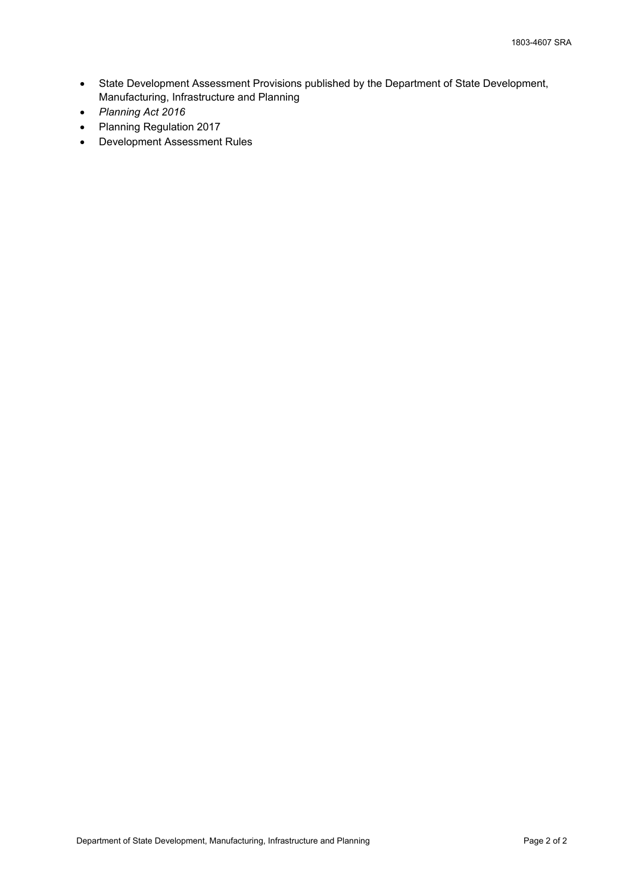- State Development Assessment Provisions published by the Department of State Development, Manufacturing, Infrastructure and Planning
- *Planning Act 2016*
- Planning Regulation 2017
- Development Assessment Rules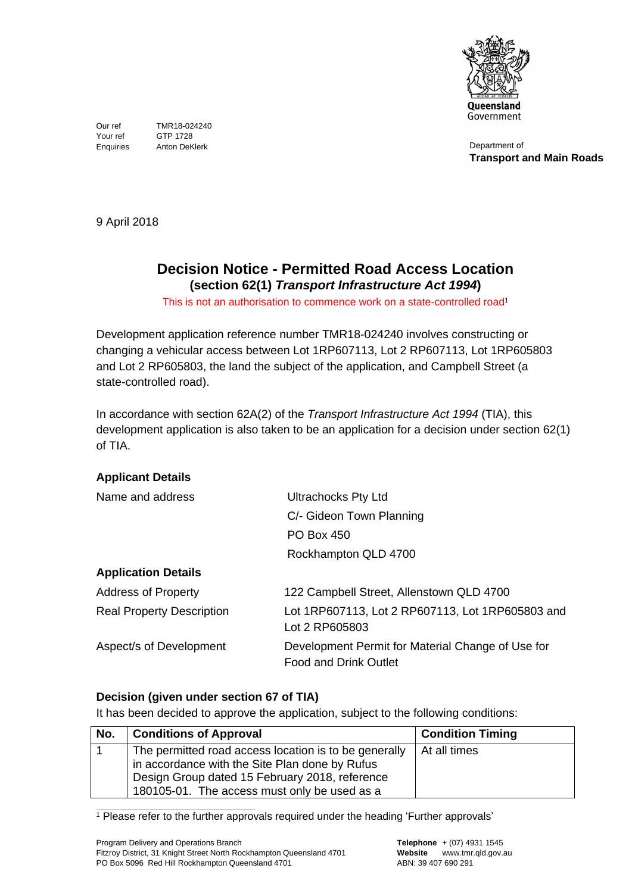

Department of **Transport and Main Roads**

Anton DeKlerk Your ref GTP 1728 Our ref TMR18-024240 **Enquiries** 

9 April 2018

# **Decision Notice - Permitted Road Access Location**

**(section 62(1)** *Transport Infrastructure Act 1994***)** This is not an authorisation to commence work on a state-controlled road<sup>1</sup>  $1$ 

Development application reference number TMR18-024240 involves constructing or changing a vehicular access between Lot 1RP607113, Lot 2 RP607113, Lot 1RP605803 and Lot 2 RP605803, the land the subject of the application, and Campbell Street (a state-controlled road).

In accordance with section 62A(2) of the *Transport Infrastructure Act* 1994 (TIA), this development application is also taken to be an application for a decision under section  $62(1)$ of TIA.

# **Applicant Details**

| Name and address                 | <b>Ultrachocks Pty Ltd</b>                                                        |
|----------------------------------|-----------------------------------------------------------------------------------|
|                                  | C/- Gideon Town Planning                                                          |
|                                  | <b>PO Box 450</b>                                                                 |
|                                  | Rockhampton QLD 4700                                                              |
| <b>Application Details</b>       |                                                                                   |
| <b>Address of Property</b>       | 122 Campbell Street, Allenstown QLD 4700                                          |
| <b>Real Property Description</b> | Lot 1RP607113, Lot 2 RP607113, Lot 1RP605803 and<br>Lot 2 RP605803                |
| Aspect/s of Development          | Development Permit for Material Change of Use for<br><b>Food and Drink Outlet</b> |

# **Decision (given under section 67 of TIA)**

It has been decided to approve the application, subject to the following conditions:

| No. | <b>Conditions of Approval</b>                         | <b>Condition Timing</b> |
|-----|-------------------------------------------------------|-------------------------|
|     | The permitted road access location is to be generally | At all times            |
|     | in accordance with the Site Plan done by Rufus        |                         |
|     | Design Group dated 15 February 2018, reference        |                         |
|     | 180105-01. The access must only be used as a          |                         |

<sup>1</sup> Please refer to the further approvals required under the heading 'Further approvals'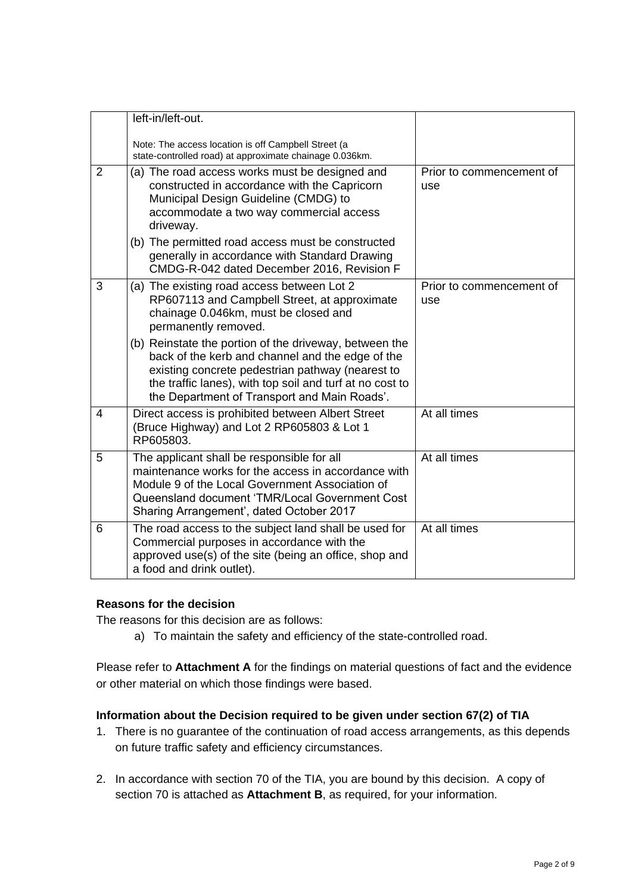|                | left-in/left-out.                                                                                                                                                                                                                                                          |                                 |
|----------------|----------------------------------------------------------------------------------------------------------------------------------------------------------------------------------------------------------------------------------------------------------------------------|---------------------------------|
|                | Note: The access location is off Campbell Street (a<br>state-controlled road) at approximate chainage 0.036km.                                                                                                                                                             |                                 |
| $\overline{2}$ | (a) The road access works must be designed and<br>constructed in accordance with the Capricorn<br>Municipal Design Guideline (CMDG) to<br>accommodate a two way commercial access<br>driveway.                                                                             | Prior to commencement of<br>use |
|                | (b) The permitted road access must be constructed<br>generally in accordance with Standard Drawing<br>CMDG-R-042 dated December 2016, Revision F                                                                                                                           |                                 |
| 3              | (a) The existing road access between Lot 2<br>RP607113 and Campbell Street, at approximate<br>chainage 0.046km, must be closed and<br>permanently removed.                                                                                                                 | Prior to commencement of<br>use |
|                | (b) Reinstate the portion of the driveway, between the<br>back of the kerb and channel and the edge of the<br>existing concrete pedestrian pathway (nearest to<br>the traffic lanes), with top soil and turf at no cost to<br>the Department of Transport and Main Roads'. |                                 |
| 4              | Direct access is prohibited between Albert Street<br>(Bruce Highway) and Lot 2 RP605803 & Lot 1<br>RP605803.                                                                                                                                                               | At all times                    |
| 5              | The applicant shall be responsible for all<br>maintenance works for the access in accordance with<br>Module 9 of the Local Government Association of<br>Queensland document 'TMR/Local Government Cost<br>Sharing Arrangement', dated October 2017                         | At all times                    |
| 6              | The road access to the subject land shall be used for<br>Commercial purposes in accordance with the<br>approved use(s) of the site (being an office, shop and<br>a food and drink outlet).                                                                                 | At all times                    |

# **Reasons for the decision**

The reasons for this decision are as follows:

a) To maintain the safety and efficiency of the state-controlled road.

Please refer to **Attachment A** for the findings on material questions of fact and the evidence or other material on which those findings were based.

## **Information about the Decision required to be given under section 67(2) of TIA**

- 1. There is no guarantee of the continuation of road access arrangements, as this depends on future traffic safety and efficiency circumstances.
- 2. In accordance with section 70 of the TIA, you are bound by this decision. A copy of section 70 is attached as **Attachment B**, as required, for your information.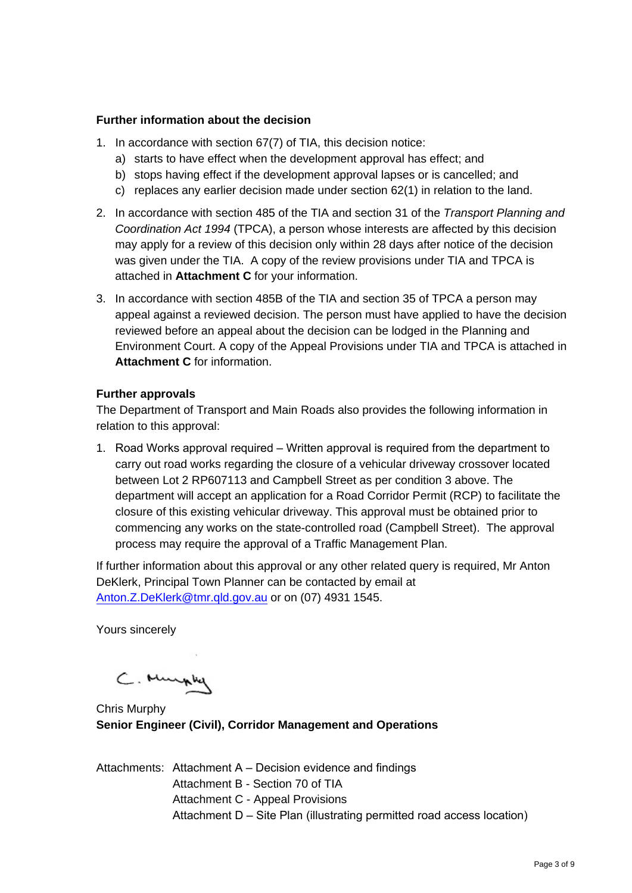## **Further information about the decision**

- 1. In accordance with section 67(7) of TIA, this decision notice:
	- a) starts to have effect when the development approval has effect; and
	- b) stops having effect if the development approval lapses or is cancelled; and
	- c) replaces any earlier decision made under section 62(1) in relation to the land.
- 2. In accordance with section 485 of the TIA and section 31 of the *Transport Planning and Coordination Act 1994* (TPCA), a person whose interests are affected by this decision may apply for a review of this decision only within 28 days after notice of the decision was given under the TIA. A copy of the review provisions under TIA and TPCA is attached in **Attachment C** for your information.
- 3. In accordance with section 485B of the TIA and section 35 of TPCA a person may appeal against a reviewed decision. The person must have applied to have the decision reviewed before an appeal about the decision can be lodged in the Planning and Environment Court. A copy of the Appeal Provisions under TIA and TPCA is attached in **Attachment C** for information.

## **Further approvals**

The Department of Transport and Main Roads also provides the following information in relation to this approval:

1. Road Works approval required – Written approval is required from the department to carry out road works regarding the closure of a vehicular driveway crossover located between Lot 2 RP607113 and Campbell Street as per condition 3 above. The department will accept an application for a Road Corridor Permit (RCP) to facilitate the closure of this existing vehicular driveway. This approval must be obtained prior to commencing any works on the state-controlled road (Campbell Street). The approval process may require the approval of a Traffic Management Plan.

If further information about this approval or any other related query is required, Mr Anton DeKlerk, Principal Town Planner can be contacted by email at [Anton.Z.DeKlerk@tmr.qld.gov.au](mailto:Anton.Z.DeKlerk@tmr.qld.gov.au) or on (07) 4931 1545.

Yours sincerely

C. Murphy

Chris Murphy **Senior Engineer (Civil), Corridor Management and Operations**

Attachments: Attachment  $A$  – Decision evidence and findings Attachment B - Section 70 of TIA Attachment C - Appeal Provisions Attachment  $D - S$ ite Plan (illustrating permitted road access location)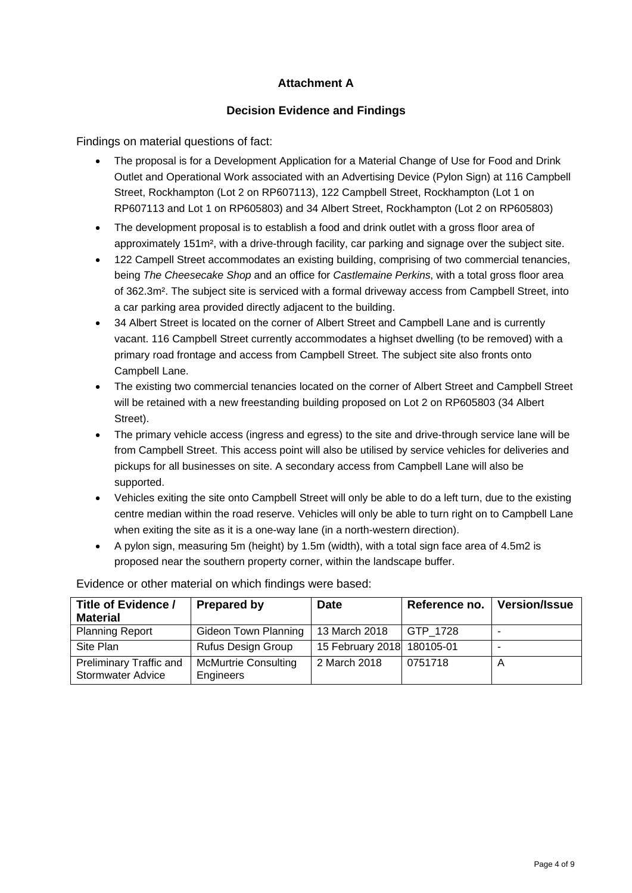## **Attachment A**

## **Decision Evidence and Findings**

Findings on material questions of fact:

- The proposal is for a Development Application for a Material Change of Use for Food and Drink Outlet and Operational Work associated with an Advertising Device (Pylon Sign) at 116 Campbell Street, Rockhampton (Lot 2 on RP607113), 122 Campbell Street, Rockhampton (Lot 1 on RP607113 and Lot 1 on RP605803) and 34 Albert Street, Rockhampton (Lot 2 on RP605803)
- The development proposal is to establish a food and drink outlet with a gross floor area of approximately 151m², with a drive-through facility, car parking and signage over the subject site.
- 122 Campell Street accommodates an existing building, comprising of two commercial tenancies, being *The Cheesecake Shop* and an office for *Castlemaine Perkins*, with a total gross floor area of 362.3m². The subject site is serviced with a formal driveway access from Campbell Street, into a car parking area provided directly adjacent to the building.
- 34 Albert Street is located on the corner of Albert Street and Campbell Lane and is currently vacant. 116 Campbell Street currently accommodates a highset dwelling (to be removed) with a primary road frontage and access from Campbell Street. The subject site also fronts onto Campbell Lane.
- The existing two commercial tenancies located on the corner of Albert Street and Campbell Street will be retained with a new freestanding building proposed on Lot 2 on RP605803 (34 Albert Street).
- The primary vehicle access (ingress and egress) to the site and drive-through service lane will be from Campbell Street. This access point will also be utilised by service vehicles for deliveries and pickups for all businesses on site. A secondary access from Campbell Lane will also be supported.
- Vehicles exiting the site onto Campbell Street will only be able to do a left turn, due to the existing centre median within the road reserve. Vehicles will only be able to turn right on to Campbell Lane when exiting the site as it is a one-way lane (in a north-western direction).
- A pylon sign, measuring 5m (height) by 1.5m (width), with a total sign face area of 4.5m2 is proposed near the southern property corner, within the landscape buffer.

| Title of Evidence /                                        | <b>Prepared by</b>                       | <b>Date</b>                | Reference no. | <b>Version/Issue</b> |
|------------------------------------------------------------|------------------------------------------|----------------------------|---------------|----------------------|
| <b>Material</b>                                            |                                          |                            |               |                      |
| <b>Planning Report</b>                                     | <b>Gideon Town Planning</b>              | 13 March 2018              | GTP 1728      |                      |
| Site Plan                                                  | <b>Rufus Design Group</b>                | 15 February 2018 180105-01 |               |                      |
| <b>Preliminary Traffic and</b><br><b>Stormwater Advice</b> | <b>McMurtrie Consulting</b><br>Engineers | 2 March 2018               | 0751718       |                      |

Evidence or other material on which findings were based: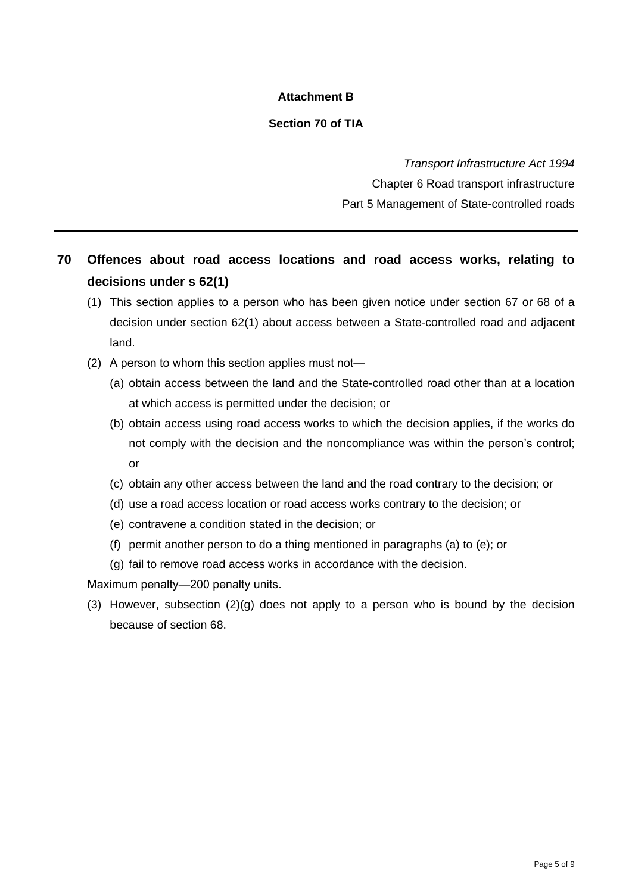# **Attachment B**

## **Section 70 of TIA**

*Transport Infrastructure Act 1994* Chapter 6 Road transport infrastructure Part 5 Management of State-controlled roads

# **70 Offences about road access locations and road access works, relating to decisions under s 62(1)**

- (1) This section applies to a person who has been given notice under section 67 or 68 of a decision under section 62(1) about access between a State-controlled road and adjacent land.
- (2) A person to whom this section applies must not—
	- (a) obtain access between the land and the State-controlled road other than at a location at which access is permitted under the decision; or
	- (b) obtain access using road access works to which the decision applies, if the works do not comply with the decision and the noncompliance was within the person's control; or
	- (c) obtain any other access between the land and the road contrary to the decision; or
	- (d) use a road access location or road access works contrary to the decision; or
	- (e) contravene a condition stated in the decision; or
	- (f) permit another person to do a thing mentioned in paragraphs (a) to (e); or
	- (g) fail to remove road access works in accordance with the decision.

Maximum penalty—200 penalty units.

(3) However, subsection  $(2)(g)$  does not apply to a person who is bound by the decision because of section 68.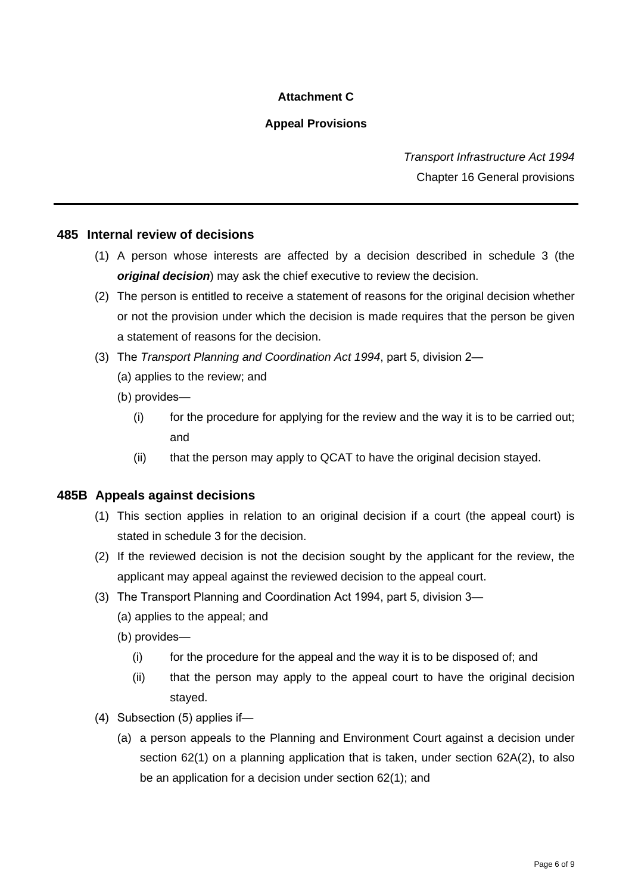# **Attachment C**

# **Appeal Provisions**

*Transport Infrastructure Act 1994* Chapter 16 General provisions

## **485 Internal review of decisions**

- (1) A person whose interests are affected by a decision described in schedule 3 (the *original decision*) may ask the chief executive to review the decision.
- (2) The person is entitled to receive a statement of reasons for the original decision whether or not the provision under which the decision is made requires that the person be given a statement of reasons for the decision.
- (3) The *Transport Planning and Coordination Act 1994*,part5,division2—
	- (a) applies to the review; and
	- $(b)$  provides—
		- (i) for the procedure for applying for the review and the way it is to be carried out; and
		- (ii) that the person may apply to QCAT to have the original decision stayed.

## **485B Appeals against decisions**

- (1) This section applies in relation to an original decision if a court (the appeal court) is stated in schedule 3 for the decision.
- (2) If the reviewed decision is not the decision sought by the applicant for the review, the applicant may appeal against the reviewed decision to the appeal court.
- (3) The Transport Planning and Coordination Act 1994, part 5, division 3—
	- (a) applies to the appeal; and
	- (b) provides—
		- (i) for the procedure for the appealand the way it is to be disposed of; and
		- (ii) that the person may apply to the appeal court to have the original decision stayed.
- (4) Subsection  $(5)$  applies if-
	- (a) a person appeals to the Planning and Environment Court against a decision under section 62(1) on a planning application that is taken, under section 62A(2), to also be an application for a decision under section 62(1); and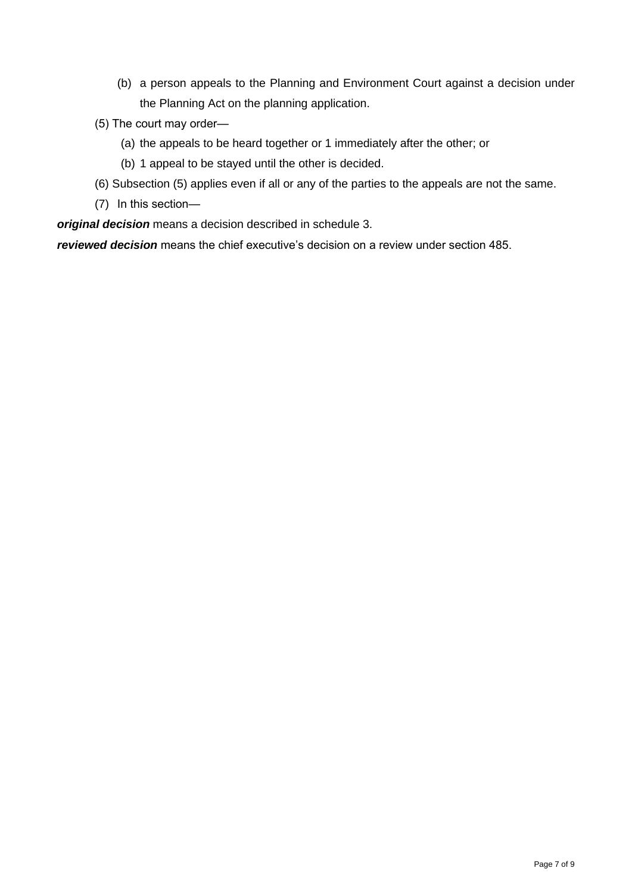- (b) a person appeals to the Planning and Environment Court against a decision under the Planning Act on the planning application.
- (5) The court may order—
	- (a) the appeals to be heard together or 1 immediately after the other; or
	- (b) 1 appeal to be stayed until the other is decided.
- (6) Subsection (5) applies even if all or any of the parties to the appeals are not the same.
- (7) In this section-

*original decision* means a decision described in schedule 3.

*reviewed decision* means the chief executive's decision on a review under section 485.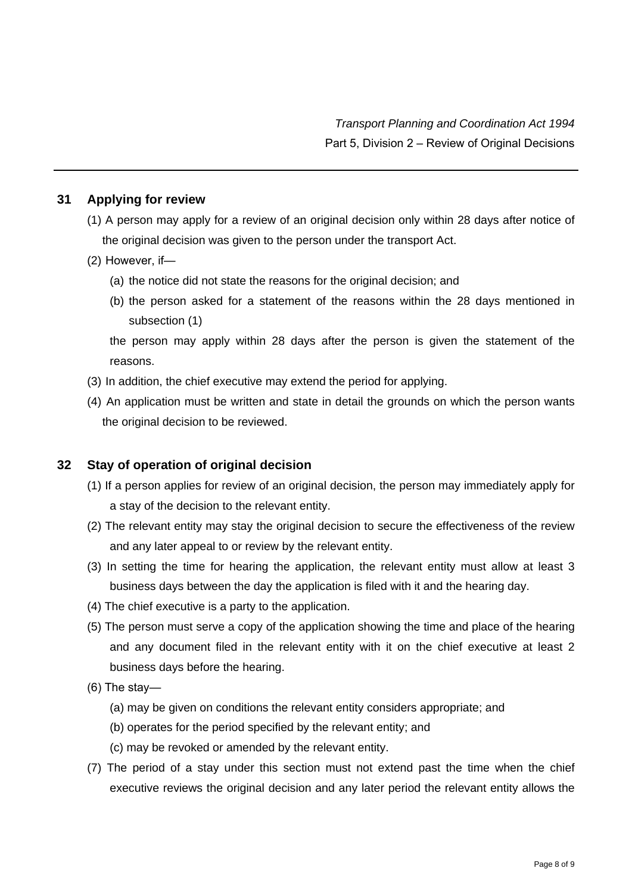# **31 Applying for review**

- (1) A person may apply for a review of an original decision only within 28 days after notice of the original decision was given to the person under the transport Act.
- (2) However, if-
	- (a) the notice did not state the reasons for the original decision; and
	- (b) the person asked for a statement of the reasons within the 28 days mentioned in subsection (1)

the person may apply within 28 days after the person is given the statement of the reasons.

- (3) In addition, the chief executive may extend the period for applying.
- (4) An application must be written and state in detail the grounds on which the person wants the original decision to be reviewed.

# **32 Stay of operation of original decision**

- (1) If a person applies for review of an original decision, the person may immediately apply for a stay of the decision to the relevant entity.
- (2) The relevant entity may stay the original decision to secure the effectiveness of the review and any later appeal to or review by the relevant entity.
- (3) In setting the time for hearing the application, the relevant entity must allow at least 3 business days between the day the application is filed with it and the hearing day.
- 
- (4) The chief executive is a party to the application.<br>(5) The person must serve a copy of the application showing the time and place of the hearing and any document filed in the relevant entity with it on the chief executive at least 2 business days before the hearing.
- $(6)$  The stay—
	- (a) may be given on conditions the relevant entity considers appropriate; and
	- (b) operates for the period specified by the relevant entity; and
	- (c) may be revoked or amended by the relevant entity.
- (7) The period of a stay under this section must not extend past the time when the chief executive reviews the original decision and any later period the relevant entity allows the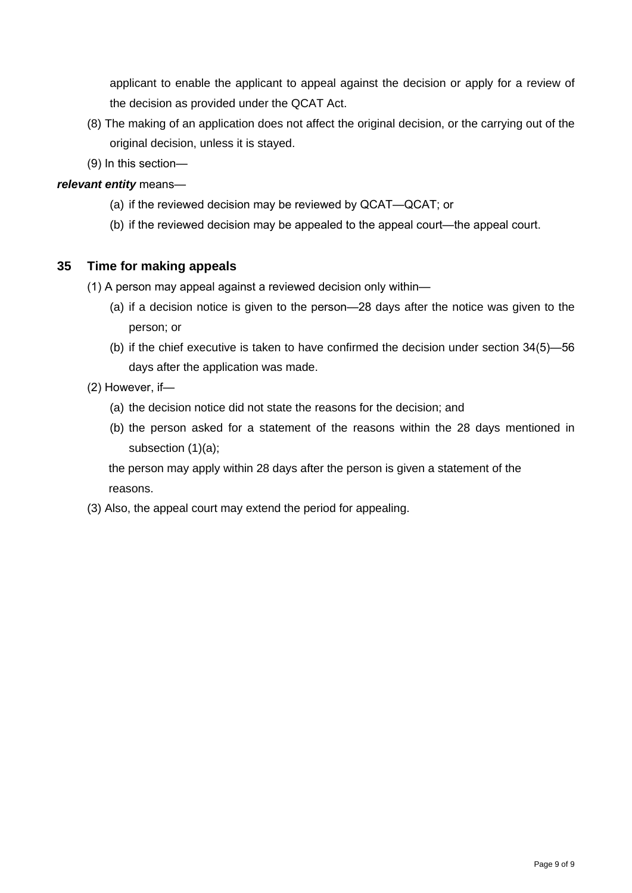applicant to enable the applicant to appeal against the decision or apply for a review of the decision as provided under the QCAT Act.

- (8) The making of an application does not affect the original decision, or the carrying out of the original decision, unless it is stayed.
- $(9)$  In this section—

## *relevant entity* means—

- (a) if the reviewed decision may be reviewed by  $QCAT-QCAT$ ; or
- (b) if the reviewed decision may be appealed to the appeal court—the appeal court.

# **35 Time for making appeals**

- (1) A person may appeal against a reviewed decision only within—
	- (a) if a decision notice is given to the person—28 days after the notice was given to the person; or
	- (b) if the chief executive is taken to have confirmed the decision under section  $34(5)$ —56 days after the application was made.
- $(2)$  However, if-
	- (a) the decision notice did not state the reasons for the decision; and
	- (b) the person asked for a statement of the reasons within the 28 days mentioned in subsection (1)(a);

the person may apply within 28 days after the person is given a statement of the reasons.

(3) Also, the appeal court may extend the period for appealing.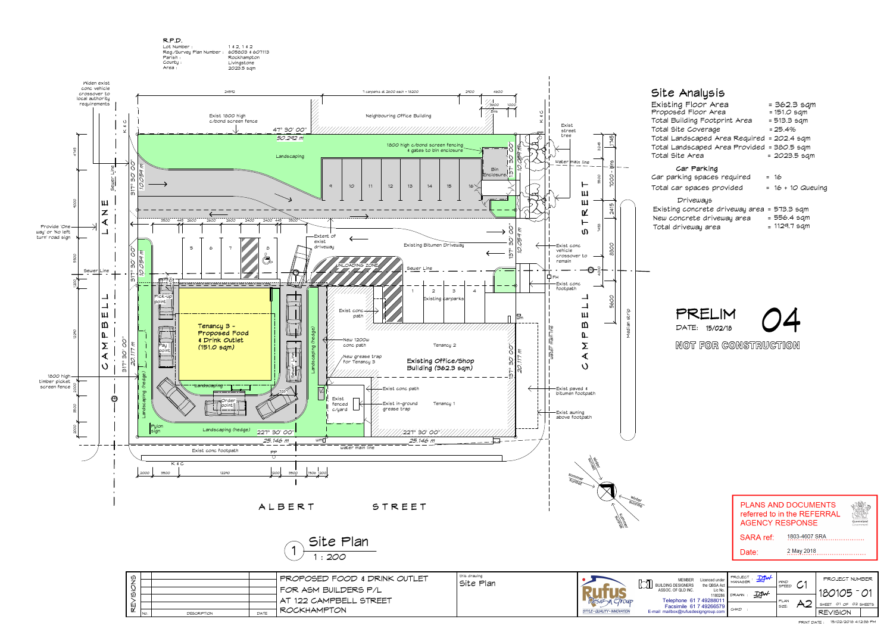



| <u>ഗ</u><br>$\overline{\sigma}$<br>Ш<br>Q<br>NO | <b>DESCRIPTION</b> | DATE | <b>PROPOSED FOOD &amp; DRINK OUTLET</b><br>FOR ASM BUILDERS P/L<br>I AT 122 CAMPBELL STREET<br><b>ROCKHAMPTON</b> | l this drawir<br>Site |
|-------------------------------------------------|--------------------|------|-------------------------------------------------------------------------------------------------------------------|-----------------------|
|-------------------------------------------------|--------------------|------|-------------------------------------------------------------------------------------------------------------------|-----------------------|